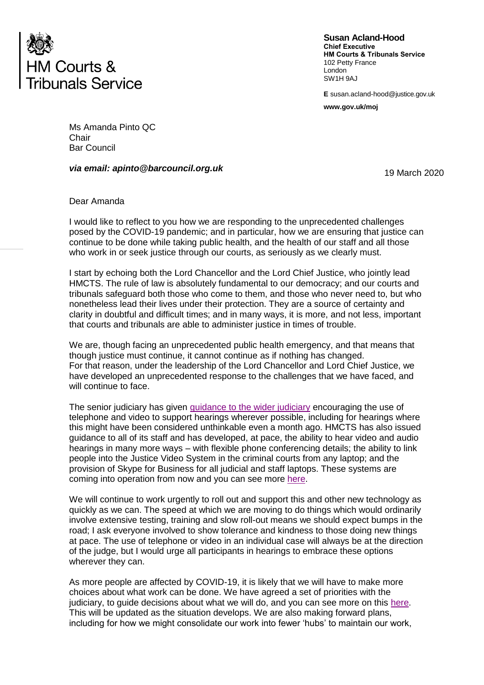

**Susan Acland-Hood Chief Executive HM Courts & Tribunals Service** 102 Petty France London SW<sub>1</sub>H 9A<sub>J</sub>

**E** susan.acland-hood@justice.gov.uk

**www.gov.uk/moj** 

Ms Amanda Pinto QC **Chair** Bar Council

## *via email: apinto@barcouncil.org.uk*

19 March 2020

## Dear Amanda

I would like to reflect to you how we are responding to the unprecedented challenges posed by the COVID-19 pandemic; and in particular, how we are ensuring that justice can continue to be done while taking public health, and the health of our staff and all those who work in or seek justice through our courts, as seriously as we clearly must.

I start by echoing both the Lord Chancellor and the Lord Chief Justice, who jointly lead HMCTS. The rule of law is absolutely fundamental to our democracy; and our courts and tribunals safeguard both those who come to them, and those who never need to, but who nonetheless lead their lives under their protection. They are a source of certainty and clarity in doubtful and difficult times; and in many ways, it is more, and not less, important that courts and tribunals are able to administer justice in times of trouble.

We are, though facing an unprecedented public health emergency, and that means that though justice must continue, it cannot continue as if nothing has changed. For that reason, under the leadership of the Lord Chancellor and Lord Chief Justice, we have developed an unprecedented response to the challenges that we have faced, and will continue to face.

The senior judiciary has given [guidance to the wider judiciary](https://www.judiciary.uk/announcements/coronavirus-covid-19-message-from-the-lord-chief-justice-to-judges-in-the-civil-and-family-courts/) encouraging the use of telephone and video to support hearings wherever possible, including for hearings where this might have been considered unthinkable even a month ago. HMCTS has also issued guidance to all of its staff and has developed, at pace, the ability to hear video and audio hearings in many more ways – with flexible phone conferencing details; the ability to link people into the Justice Video System in the criminal courts from any laptop; and the provision of Skype for Business for all judicial and staff laptops. These systems are coming into operation from now and you can see more [here.](https://www.gov.uk/guidance/hmcts-telephone-and-video-hearings-during-coronavirus-outbreak)

We will continue to work urgently to roll out and support this and other new technology as quickly as we can. The speed at which we are moving to do things which would ordinarily involve extensive testing, training and slow roll-out means we should expect bumps in the road; I ask everyone involved to show tolerance and kindness to those doing new things at pace. The use of telephone or video in an individual case will always be at the direction of the judge, but I would urge all participants in hearings to embrace these options wherever they can.

As more people are affected by COVID-19, it is likely that we will have to make more choices about what work can be done. We have agreed a set of priorities with the judiciary, to guide decisions about what we will do, and you can see more on this [here.](https://www.gov.uk/guidance/hmcts-priorities-during-coronavirus-outbreak) This will be updated as the situation develops. We are also making forward plans, including for how we might consolidate our work into fewer 'hubs' to maintain our work,